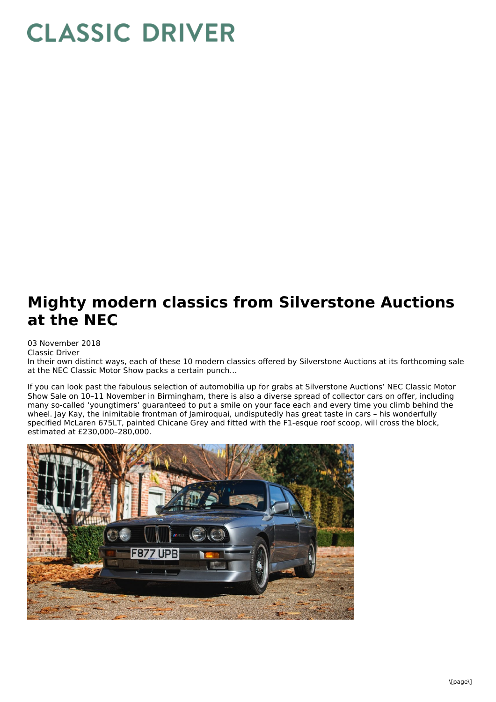## **CLASSIC DRIVER**

## **Mighty modern classics from Silverstone Auctions at the NEC**

03 November 2018 Classic Driver

In their own distinct ways, each of these 10 modern classics offered by Silverstone Auctions at its forthcoming sale at the NEC Classic Motor Show packs a certain punch…

If you can look past the fabulous selection of automobilia up for grabs at Silverstone Auctions' NEC Classic Motor Show Sale on 10–11 November in Birmingham, there is also a diverse spread of collector cars on offer, including many so-called 'youngtimers' guaranteed to put a smile on your face each and every time you climb behind the wheel. Jay Kay, the inimitable frontman of Jamiroquai, undisputedly has great taste in cars – his wonderfully specified McLaren 675LT, painted Chicane Grey and fitted with the F1-esque roof scoop, will cross the block, estimated at £230,000–280,000.